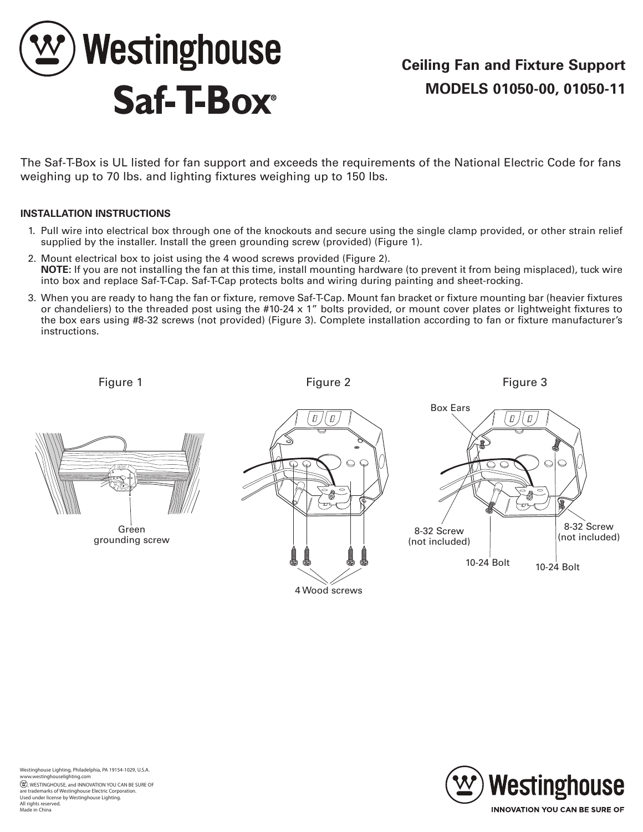

The Saf-T-Box is UL listed for fan support and exceeds the requirements of the National Electric Code for fans weighing up to 70 lbs. and lighting fixtures weighing up to 150 lbs.

## **INSTALLATION INSTRUCTIONS**

- 1. Pull wire into electrical box through one of the knockouts and secure using the single clamp provided, or other strain relief supplied by the installer. Install the green grounding screw (provided) (Figure 1).
- 2. Mount electrical box to joist using the 4 wood screws provided (Figure 2). **NOTE:** If you are not installing the fan at this time, install mounting hardware (to prevent it from being misplaced), tuck wire into box and replace Saf-T-Cap. Saf-T-Cap protects bolts and wiring during painting and sheet-rocking.
- 3. When you are ready to hang the fan or fixture, remove Saf-T-Cap. Mount fan bracket or fixture mounting bar (heavier fixtures or chandeliers) to the threaded post using the #10-24 x 1" bolts provided, or mount cover plates or lightweight fixtures to the box ears using #8-32 screws (not provided) (Figure 3). Complete installation according to fan or fixture manufacturer's instructions.

Figure 1 Figure 2 Figure 3



Green grounding screw





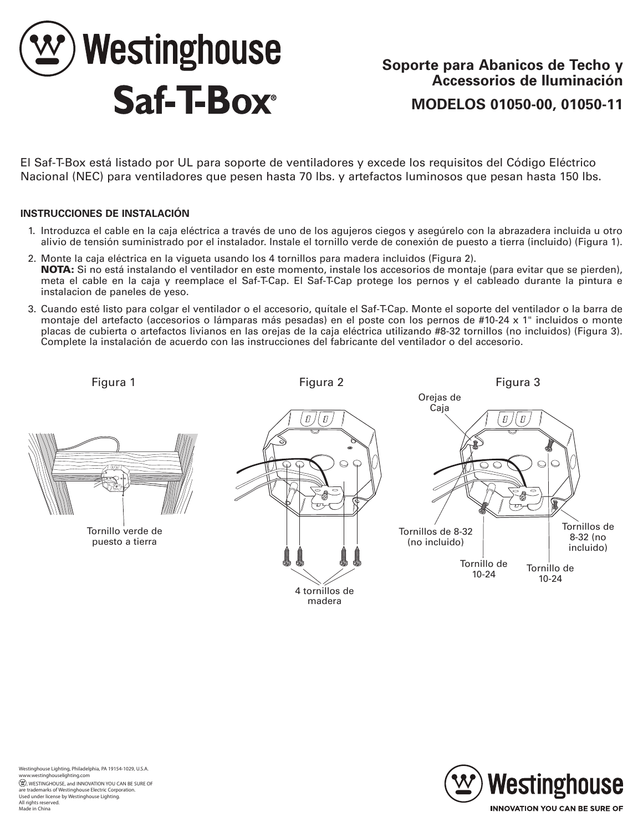

El Saf-T-Box está listado por UL para soporte de ventiladores y excede los requisitos del Código Eléctrico Nacional (NEC) para ventiladores que pesen hasta 70 lbs. y artefactos luminosos que pesan hasta 150 lbs.

## **INSTRUCCIONES DE INSTALACIÓN**

- 1. Introduzca el cable en la caja eléctrica a través de uno de los agujeros ciegos y asegúrelo con la abrazadera incluida u otro alivio de tensión suministrado por el instalador. Instale el tornillo verde de conexión de puesto a tierra (incluido) (Figura 1).
- 2. Monte la caja eléctrica en la vigueta usando los 4 tornillos para madera incluidos (Figura 2). NOTA: Si no está instalando el ventilador en este momento, instale los accesorios de montaje (para evitar que se pierden), meta el cable en la caja y reemplace el Saf-T-Cap. El Saf-T-Cap protege los pernos y el cableado durante la pintura e instalacion de paneles de yeso.
- 3. Cuando esté listo para colgar el ventilador o el accesorio, quítale el Saf-T-Cap. Monte el soporte del ventilador o la barra de montaje del artefacto (accesorios o lámparas más pesadas) en el poste con los pernos de #10-24 x 1" incluidos o monte placas de cubierta o artefactos livianos en las orejas de la caja eléctrica utilizando #8-32 tornillos (no incluidos) (Figura 3). Complete la instalación de acuerdo con las instrucciones del fabricante del ventilador o del accesorio.

Tornillo verde de puesto a tierra







All rights reserved. Made in China